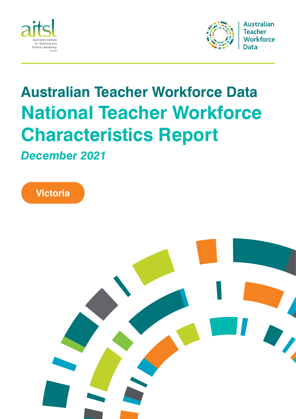



# **Australian Teacher Workforce Data National Teacher Workforce Characteristics Report**

*December 2021*



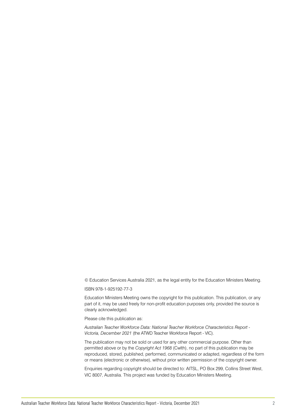© Education Services Australia 2021, as the legal entity for the Education Ministers Meeting.

#### ISBN 978-1-925192-77-3

Education Ministers Meeting owns the copyright for this publication. This publication, or any part of it, may be used freely for non-profit education purposes only, provided the source is clearly acknowledged.

Please cite this publication as:

*Australian Teacher Workforce Data: National Teacher Workforce Characteristics Report - Victoria, December 2021* (the ATWD Teacher Workforce Report - VIC).

The publication may not be sold or used for any other commercial purpose. Other than permitted above or by the *Copyright Act 1968* (Cwlth), no part of this publication may be reproduced, stored, published, performed, communicated or adapted, regardless of the form or means (electronic or otherwise), without prior written permission of the copyright owner.

Enquiries regarding copyright should be directed to: AITSL, PO Box 299, Collins Street West, VIC 8007, Australia. This project was funded by Education Ministers Meeting.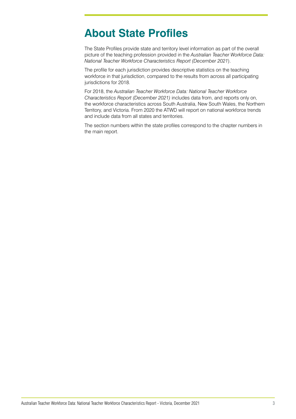# **About State Profiles**

The State Profiles provide state and territory level information as part of the overall picture of the teaching profession provided in the *Australian Teacher Workforce Data: National Teacher Workforce Characteristics Report (December 2021*).

The profile for each jurisdiction provides descriptive statistics on the teaching workforce in that jurisdiction, compared to the results from across all participating jurisdictions for 2018.

For 2018, the *Australian Teacher Workforce Data: National Teacher Workforce Characteristics Report (December 2021)* includes data from, and reports only on, the workforce characteristics across South Australia, New South Wales, the Northern Territory, and Victoria. From 2020 the ATWD will report on national workforce trends and include data from all states and territories.

The section numbers within the state profiles correspond to the chapter numbers in the main report.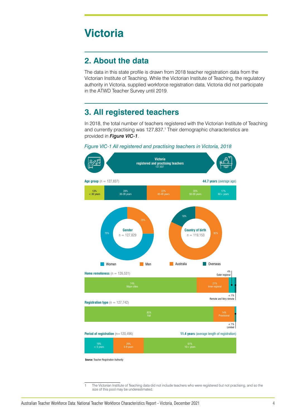# **Victoria**

#### **2. About the data**

The data in this state profile is drawn from 2018 teacher registration data from the Victorian Institute of Teaching. While the Victorian Institute of Teaching, the regulatory authority in Victoria, supplied workforce registration data, Victoria did not participate in the ATWD Teacher Survey until 2019.

### **3. All registered teachers**

In 2018, the total number of teachers registered with the Victorian Institute of Teaching and currently practising was 127,837.<sup>1</sup> Their demographic characteristics are provided in *Figure VIC-1*.





**Source:** Teacher Registration Authority

1 The Victorian Institute of Teaching data did not include teachers who were registered but not practising, and so the size of this pool may be underestimated.